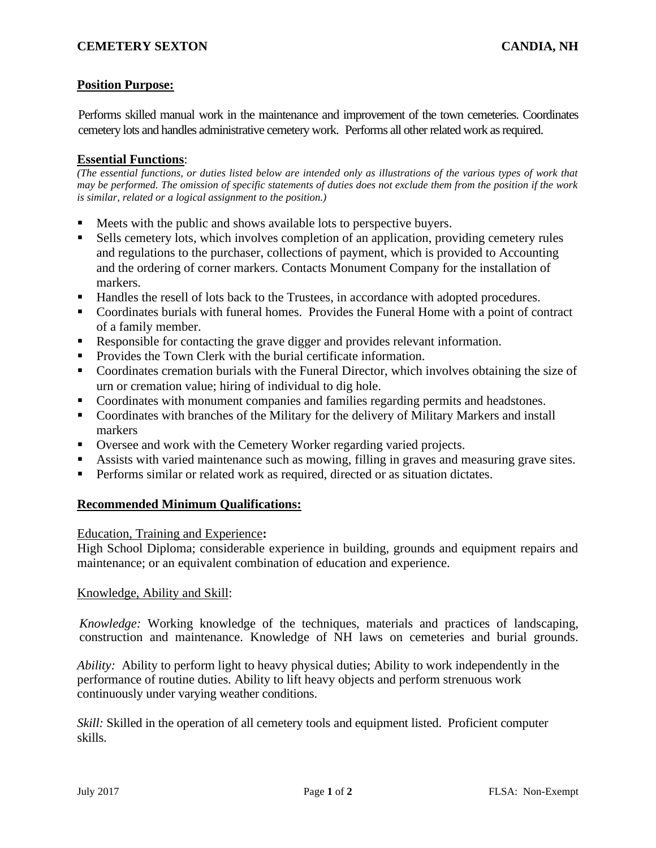# **Position Purpose:**

Performs skilled manual work in the maintenance and improvement of the town cemeteries. Coordinates cemetery lots and handles administrative cemetery work. Performs all other related work as required.

### **Essential Functions**:

*(The essential functions, or duties listed below are intended only as illustrations of the various types of work that may be performed. The omission of specific statements of duties does not exclude them from the position if the work is similar, related or a logical assignment to the position.)*

- Meets with the public and shows available lots to perspective buyers.
- Sells cemetery lots, which involves completion of an application, providing cemetery rules and regulations to the purchaser, collections of payment, which is provided to Accounting and the ordering of corner markers. Contacts Monument Company for the installation of markers.
- Handles the resell of lots back to the Trustees, in accordance with adopted procedures.
- Coordinates burials with funeral homes. Provides the Funeral Home with a point of contract of a family member.
- Responsible for contacting the grave digger and provides relevant information.
- Provides the Town Clerk with the burial certificate information.
- Coordinates cremation burials with the Funeral Director, which involves obtaining the size of urn or cremation value; hiring of individual to dig hole.
- Coordinates with monument companies and families regarding permits and headstones.
- Coordinates with branches of the Military for the delivery of Military Markers and install markers
- Oversee and work with the Cemetery Worker regarding varied projects.
- Assists with varied maintenance such as mowing, filling in graves and measuring grave sites.
- Performs similar or related work as required, directed or as situation dictates.

## **Recommended Minimum Qualifications:**

#### Education, Training and Experience**:**

High School Diploma; considerable experience in building, grounds and equipment repairs and maintenance; or an equivalent combination of education and experience.

#### Knowledge, Ability and Skill:

*Knowledge:* Working knowledge of the techniques, materials and practices of landscaping, construction and maintenance. Knowledge of NH laws on cemeteries and burial grounds.

*Ability:* Ability to perform light to heavy physical duties; Ability to work independently in the performance of routine duties. Ability to lift heavy objects and perform strenuous work continuously under varying weather conditions.

*Skill:* Skilled in the operation of all cemetery tools and equipment listed. Proficient computer skills.